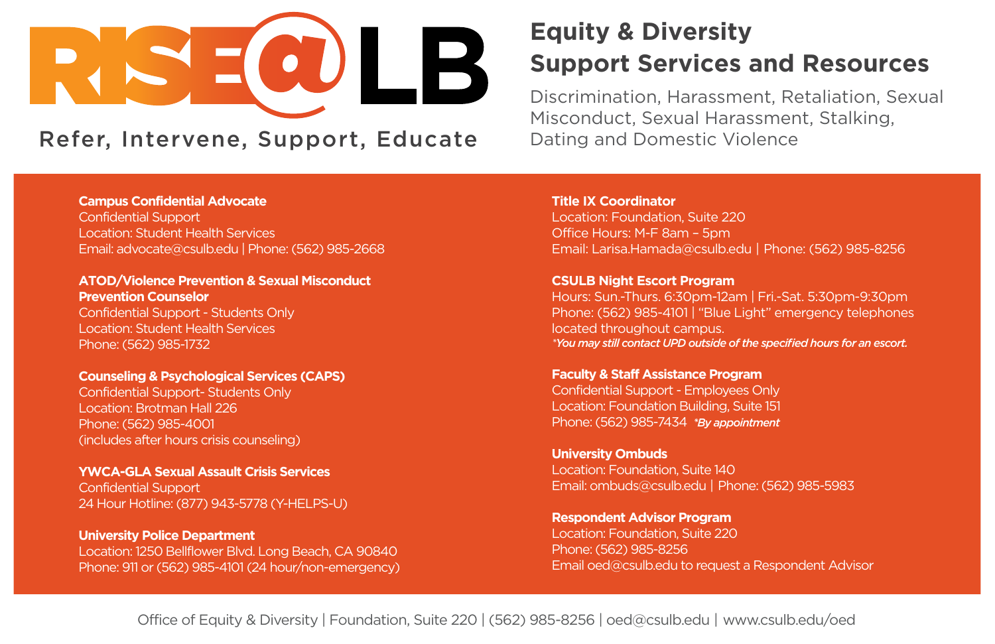# $\mathsf B\mathsf E\bigwedge\mathsf C\mathsf H$ TITLE IX

**Campus Confidential Advocate**  Confidential Support Location: Student Health Services Email: [advocate@csulb.edu](mailto:advocate@csulb.edu) | Phone: (562) 985-2668

**ATOD/Violence Prevention & Sexual Misconduct Prevention Counselor**  Confidential Support - Students Only Location: Student Health Services Phone: (562) 985-1732

**Counseling & Psychological Services (CAPS)** Confidential Support- Students Only Location: Brotman Hall 226 Phone: (562) 985-4001 (includes after hours crisis counseling)

**YWCA-GLA Sexual Assault Crisis Services** Confidential Support 24 Hour Hotline: (877) 943-5778 (Y-HELPS-U)

**University Police Department**  Location: 1250 Bellflower Blvd. Long Beach, CA 90840 Phone: 911 or (562) 985-4101 (24 hour/non-emergency)

## **Equity & Diversity Support Services and Resources**

Discrimination, Harassment, Retaliation, Sexual Misconduct, Sexual Harassment, Stalking, Dating and Domestic Violence

**Title IX Coordinator**  Location: Foundation, Suite 220 Office Hours: M-F 8am – 5pm Email: [Larisa.Hamada@csulb.edu](mailto:Larisa.Hamada@csulb.edu) | Phone: (562) 985-8256

**CSULB Night Escort Program**  Hours: Sun.-Thurs. 6:30pm-12am | Fri.-Sat. 5:30pm-9:30pm Phone: (562) 985-4101 | "Blue Light" emergency telephones located throughout campus. *\*You may still contact UPD outside of the specified hours for an escort.* 

**Faculty & Staff Assistance Program**  Confidential Support - Employees Only Location: Foundation Building, Suite 151 Phone: (562) 985-7434 *\*By appointment* 

**University Ombuds**  Location: Foundation, Suite 140 Email: [ombuds@csulb.edu](mailto:ombuds@csulb.edu) | Phone: (562) 985-5983

**Respondent Advisor Program**  Location: Foundation, Suite 220 Phone: (562) 985-8256 Email [oed@csulb.edu](mailto:oed@csulb.edu) to request a Respondent Advisor